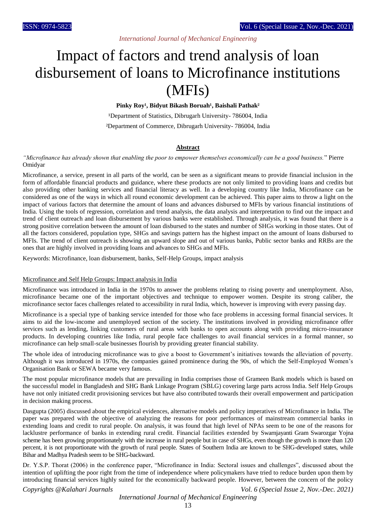# *International Journal of Mechanical Engineering*

# Impact of factors and trend analysis of loan disbursement of loans to Microfinance institutions (MFIs)

Pinky Roy<sup>1</sup>, Bidyut Bikash Boruah<sup>1</sup>, Baishali Pathak<sup>2</sup>

<sup>1</sup>Department of Statistics, Dibrugarh University- 786004, India ²Department of Commerce, Dibrugarh University- 786004, India

### **Abstract**

### *"Microfinance has already shown that enabling the poor to empower themselves economically can be a good business.*" Pierre Omidyar

Microfinance, a service, present in all parts of the world, can be seen as a significant means to provide financial inclusion in the form of affordable financial products and guidance, where these products are not only limited to providing loans and credits but also providing other banking services and financial literacy as well. In a developing country like India, Microfinance can be considered as one of the ways in which all round economic development can be achieved. This paper aims to throw a light on the impact of various factors that determine the amount of loans and advances disbursed to MFIs by various financial institutions of India. Using the tools of regression, correlation and trend analysis, the data analysis and interpretation to find out the impact and trend of client outreach and loan disbursement by various banks were established. Through analysis, it was found that there is a strong positive correlation between the amount of loan disbursed to the states and number of SHGs working in those states. Out of all the factors considered, population type, SHGs and savings pattern has the highest impact on the amount of loans disbursed to MFIs. The trend of client outreach is showing an upward slope and out of various banks, Public sector banks and RRBs are the ones that are highly involved in providing loans and advances to SHGs and MFIs.

Keywords: Microfinance, loan disbursement, banks, Self-Help Groups, impact analysis

#### Microfinance and Self Help Groups: Impact analysis in India

Microfinance was introduced in India in the 1970s to answer the problems relating to rising poverty and unemployment. Also, microfinance became one of the important objectives and technique to empower women. Despite its strong caliber, the microfinance sector faces challenges related to accessibility in rural India, which, however is improving with every passing day.

Microfinance is a special type of banking service intended for those who face problems in accessing formal financial services. It aims to aid the low-income and unemployed section of the society. The institutions involved in providing microfinance offer services such as lending, linking customers of rural areas with banks to open accounts along with providing micro-insurance products. In developing countries like India, rural people face challenges to avail financial services in a formal manner, so microfinance can help small-scale businesses flourish by providing greater financial stability.

The whole idea of introducing microfinance was to give a boost to Government's initiatives towards the alleviation of poverty. Although it was introduced in 1970s, the companies gained prominence during the 90s, of which the Self-Employed Women's Organisation Bank or SEWA became very famous.

The most popular microfinance models that are prevailing in India comprises those of Grameen Bank models which is based on the successful model in Bangladesh and SHG Bank Linkage Program (SBLG) covering large parts across India. Self Help Groups have not only initiated credit provisioning services but have also contributed towards their overall empowerment and participation in decision making process.

Dasgupta (2005) discussed about the empirical evidences, alternative models and policy imperatives of Microfinance in India. The paper was prepared with the objective of analyzing the reasons for poor performances of mainstream commercial banks in extending loans and credit to rural people. On analysis, it was found that high level of NPAs seem to be one of the reasons for lacklustre performance of banks in extending rural credit. Financial facilities extended by Swarnjayanti Gram Swarozgar Yojna scheme has been growing proportionately with the increase in rural people but in case of SHGs, even though the growth is more than 120 percent, it is not proportionate with the growth of rural people. States of Southern India are known to be SHG-developed states, while Bihar and Madhya Pradesh seem to be SHG-backward.

Dr. Y.S.P. Thorat (2006) in the conference paper, "Microfinance in India: Sectoral issues and challenges", discussed about the intention of uplifting the poor right from the time of independence where policymakers have tried to reduce burden upon them by introducing financial services highly suited for the economically backward people. However, between the concern of the policy

*Copyrights @Kalahari Journals Vol. 6 (Special Issue 2, Nov.-Dec. 2021)*

### *International Journal of Mechanical Engineering*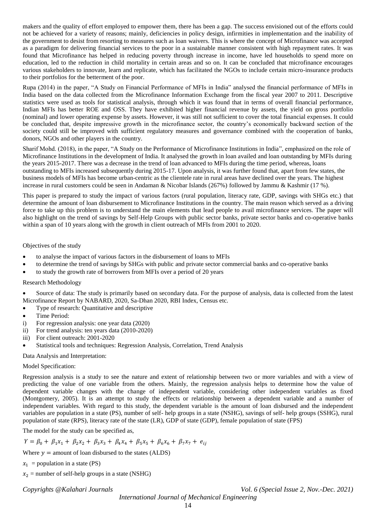makers and the quality of effort employed to empower them, there has been a gap. The success envisioned out of the efforts could not be achieved for a variety of reasons; mainly, deficiencies in policy design, infirmities in implementation and the inability of the government to desist from resorting to measures such as loan waivers. This is where the concept of Microfinance was accepted as a paradigm for delivering financial services to the poor in a sustainable manner consistent with high repayment rates. It was found that Microfinance has helped in reducing poverty through increase in income, have led households to spend more on education, led to the reduction in child mortality in certain areas and so on. It can be concluded that microfinance encourages various stakeholders to innovate, learn and replicate, which has facilitated the NGOs to include certain micro-insurance products to their portfolios for the betterment of the poor.

Rupa (2014) in the paper, "A Study on Financial Performance of MFIs in India" analysed the financial performance of MFIs in India based on the data collected from the Microfinance Information Exchange from the fiscal year 2007 to 2011. Descriptive statistics were used as tools for statistical analysis, through which it was found that in terms of overall financial performance, Indian MFIs has better ROE and OSS. They have exhibited higher financial revenue by assets, the yield on gross portfolio (nominal) and lower operating expense by assets. However, it was still not sufficient to cover the total financial expenses. It could be concluded that, despite impressive growth in the microfinance sector, the country's economically backward section of the society could still be improved with sufficient regulatory measures and governance combined with the cooperation of banks, donors, NGOs and other players in the country.

Sharif Mohd. (2018), in the paper, "A Study on the Performance of Microfinance Institutions in India", emphasized on the role of Microfinance Institutions in the development of India. It analysed the growth in loan availed and loan outstanding by MFIs during the years 2015-2017. There was a decrease in the trend of loan advanced to MFIs during the time period, whereas, loans outstanding to MFIs increased subsequently during 2015-17. Upon analysis, it was further found that, apart from few states, the business models of MFIs has become urban-centric as the clientele rate in rural areas have declined over the years. The highest increase in rural customers could be seen in Andaman & Nicobar Islands (267%) followed by Jammu & Kashmir (17 %).

This paper is prepared to study the impact of various factors (rural population, literacy rate, GDP, savings with SHGs etc.) that determine the amount of loan disbursement to Microfinance Institutions in the country. The main reason which served as a driving force to take up this problem is to understand the main elements that lead people to avail microfinance services. The paper will also highlight on the trend of savings by Self-Help Groups with public sector banks, private sector banks and co-operative banks within a span of 10 years along with the growth in client outreach of MFIs from 2001 to 2020.

Objectives of the study

- to analyse the impact of various factors in the disbursement of loans to MFIs
- to determine the trend of savings by SHGs with public and private sector commercial banks and co-operative banks
- to study the growth rate of borrowers from MFIs over a period of 20 years

# Research Methodology

 Source of data: The study is primarily based on secondary data. For the purpose of analysis, data is collected from the latest Microfinance Report by NABARD, 2020, Sa-Dhan 2020, RBI Index, Census etc.

- Type of research: Quantitative and descriptive
- Time Period:
- i) For regression analysis: one year data (2020)
- ii) For trend analysis: ten years data (2010-2020)
- iii) For client outreach: 2001-2020
- Statistical tools and techniques: Regression Analysis, Correlation, Trend Analysis

Data Analysis and Interpretation:

### Model Specification:

Regression analysis is a study to see the nature and extent of relationship between two or more variables and with a view of predicting the value of one variable from the others. Mainly, the regression analysis helps to determine how the value of dependent variable changes with the change of independent variable, considering other independent variables as fixed (Montgomery, 2005). It is an attempt to study the effects or relationship between a dependent variable and a number of independent variables. With regard to this study, the dependent variable is the amount of loan disbursed and the independent variables are population in a state (PS), number of self- help groups in a state (NSHG), savings of self- help groups (SSHG), rural population of state (RPS), literacy rate of the state (LR), GDP of state (GDP), female population of state (FPS)

The model for the study can be specified as,

 $Y = \beta_0 + \beta_1 x_1 + \beta_2 x_2 + \beta_3 x_3 + \beta_4 x_4 + \beta_5 x_5 + \beta_6 x_6 + \beta_7 x_7 + e_{ij}$ 

Where  $y =$  amount of loan disbursed to the states (ALDS)

 $x_1$  = population in a state (PS)

 $x_2$  = number of self-help groups in a state (NSHG)

*Copyrights @Kalahari Journals Vol. 6 (Special Issue 2, Nov.-Dec. 2021)*

*International Journal of Mechanical Engineering*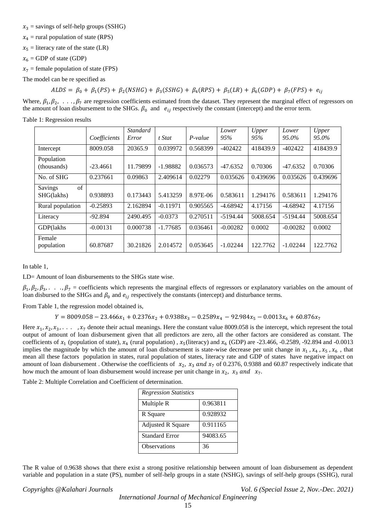$x_3$  = savings of self-help groups (SSHG)

 $x_4$  = rural population of state (RPS)

 $x_5$  = literacy rate of the state (LR)

 $x_6$  = GDP of state (GDP)

 $x_7$  = female population of state (FPS)

The model can be re specified as

 $ALDS = \beta_0 + \beta_1(PS) + \beta_2(NSHG) + \beta_3(SSHG) + \beta_4(RPS) + \beta_5(LR) + \beta_6(GDP) + \beta_7(FPS) + e_{ij}$ 

Where,  $\beta_1, \beta_2, \ldots, \beta_7$  are regression coefficients estimated from the dataset. They represent the marginal effect of regressors on the amount of loan disbursement to the SHGs.  $\beta_0$  and  $e_{ij}$  respectively the constant (intercept) and the error term.

Table 1: Regression results

|                                            | Coefficients | <b>Standard</b><br>Error | t Stat     | $P-value$ | Lower<br>95% | Upper<br>95% | Lower<br>95.0% | Upper<br>95.0% |
|--------------------------------------------|--------------|--------------------------|------------|-----------|--------------|--------------|----------------|----------------|
| Intercept                                  | 8009.058     | 20365.9                  | 0.039972   | 0.568399  | $-402422$    | 418439.9     | $-402422$      | 418439.9       |
| Population<br>(thousands)                  | $-23.4661$   | 11.79899                 | $-1.98882$ | 0.036573  | $-47.6352$   | 0.70306      | $-47.6352$     | 0.70306        |
| No. of SHG                                 | 0.237661     | 0.09863                  | 2.409614   | 0.02279   | 0.035626     | 0.439696     | 0.035626       | 0.439696       |
| $\sigma$ f<br><b>Savings</b><br>SHG(lakhs) | 0.938893     | 0.173443                 | 5.413259   | 8.97E-06  | 0.583611     | 1.294176     | 0.583611       | 1.294176       |
| Rural population                           | $-0.25893$   | 2.162894                 | $-0.11971$ | 0.905565  | $-4.68942$   | 4.17156      | $-4.68942$     | 4.17156        |
| Literacy                                   | $-92.894$    | 2490.495                 | $-0.0373$  | 0.270511  | $-5194.44$   | 5008.654     | $-5194.44$     | 5008.654       |
| GDP(lakhs                                  | $-0.00131$   | 0.000738                 | $-1.77685$ | 0.036461  | $-0.00282$   | 0.0002       | $-0.00282$     | 0.0002         |
| Female<br>population                       | 60.87687     | 30.21826                 | 2.014572   | 0.053645  | $-1.02244$   | 122.7762     | $-1.02244$     | 122.7762       |

In table 1,

LD= Amount of loan disbursements to the SHGs state wise.

 $\beta_1, \beta_2, \beta_3, \ldots, \beta_7$  = coefficients which represents the marginal effects of regressors or explanatory variables on the amount of loan disbursed to the SHGs and  $\beta_0$  and  $e_{ij}$  respectively the constants (intercept) and disturbance terms.

From Table 1, the regression model obtained is,

 $Y = 8009.058 - 23.466x_1 + 0.2376x_2 + 0.9388x_3 - 0.2589x_4 - 92.984x_5 - 0.0013x_6 + 60.876x_7$ 

Here  $x_1, x_2, x_3, \ldots$ ,  $x_7$  denote their actual meanings. Here the constant value 8009.058 is the intercept, which represent the total output of amount of loan disbursement given that all predictors are zero, all the other factors are considered as constant. The coefficients of  $x_1$  (population of state),  $x_4$  (rural population),  $x_5$ (literacy) and  $x_6$  (GDP) are -23.466, -0.2589, -92.894 and -0.0013 implies the magnitude by which the amount of loan disbursement is state-wise decrease per unit change in  $x_1$ ,  $x_4$ ,  $x_5$ ,  $x_6$ , that mean all these factors population in states, rural population of states, literacy rate and GDP of states have negative impact on amount of loan disbursement. Otherwise the coefficients of  $x_2$ ,  $x_3$  and  $x_7$  of 0.2376, 0.9388 and 60.87 respectively indicate that how much the amount of loan disbursement would increase per unit change in  $x_2$ ,  $x_3$  and  $x_7$ .

Table 2: Multiple Correlation and Coefficient of determination.

| <b>Regression Statistics</b> |          |
|------------------------------|----------|
| Multiple R                   | 0.963811 |
| R Square                     | 0.928932 |
| <b>Adjusted R Square</b>     | 0.911165 |
| <b>Standard Error</b>        | 94083.65 |
| Observations                 | 36       |

The R value of 0.9638 shows that there exist a strong positive relationship between amount of loan disbursement as dependent variable and population in a state (PS), number of self-help groups in a state (NSHG), savings of self-help groups (SSHG), rural

*Copyrights @Kalahari Journals Vol. 6 (Special Issue 2, Nov.-Dec. 2021)*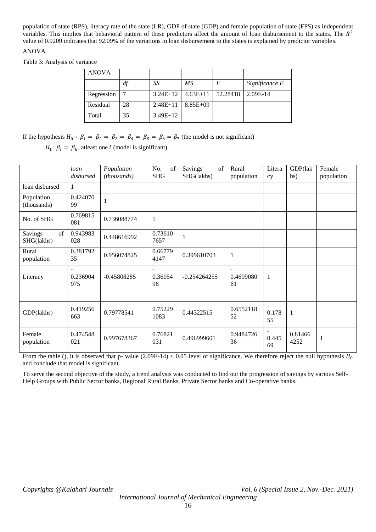population of state (RPS), literacy rate of the state (LR), GDP of state (GDP) and female population of state (FPS) as independent variables. This implies that behavioral pattern of these predictors affect the amount of loan disbursement to the states. The  $R^2$ value of 0.9209 indicates that 92.09% of the variations in loan disbursement to the states is explained by predictor variables.

# ANOVA

Table 3: Analysis of variance

| <b>ANOVA</b> |    |            |              |          |                |
|--------------|----|------------|--------------|----------|----------------|
|              | df | SS         | MS           |          | Significance F |
| Regression   |    | $3.24E+12$ | $4.63E+11$   | 52.28418 | 2.09E-14       |
| Residual     | 28 | $2.48E+11$ | $8.85E + 09$ |          |                |
| Total        | 35 | $3.49E+12$ |              |          |                |

If the hypothesis  $H_0: \beta_1 = \beta_2 = \beta_3 = \beta_4 = \beta_5 = \beta_6 = \beta_7$  (the model is not significant)

 $H_1: \beta_i = \beta_k$ , atleast one *i* (model is significant)

|                             | loan<br>disbursed                 | Population<br>(thousands) | No.<br>of<br><b>SHG</b> | Savings<br>of<br>SHG(lakhs) | Rural<br>population | Litera<br>cy          | GDP(lak<br>hs)  | Female<br>population |
|-----------------------------|-----------------------------------|---------------------------|-------------------------|-----------------------------|---------------------|-----------------------|-----------------|----------------------|
|                             |                                   |                           |                         |                             |                     |                       |                 |                      |
| loan disbursed              | $\mathbf{1}$                      |                           |                         |                             |                     |                       |                 |                      |
| Population<br>(thousands)   | 0.424070<br>99                    | 1                         |                         |                             |                     |                       |                 |                      |
| No. of SHG                  | 0.769815<br>081                   | 0.736088774               | $\mathbf{1}$            |                             |                     |                       |                 |                      |
| Savings<br>of<br>SHG(lakhs) | 0.943983<br>028                   | 0.448616992               | 0.73610<br>7657         | $\mathbf{1}$                |                     |                       |                 |                      |
| Rural<br>population         | 0.381792<br>35                    | 0.956074825               | 0.66779<br>4147         | 0.399610703                 | 1                   |                       |                 |                      |
| Literacy                    | $\overline{a}$<br>0.236904<br>975 | $-0.45808285$             | 0.36054<br>96           | $-0.254264255$              | 0.4699080<br>61     | $\mathbf{1}$          |                 |                      |
|                             |                                   |                           |                         |                             |                     |                       |                 |                      |
| GDP(lakhs)                  | 0.419256<br>663                   | 0.79778541                | 0.75229<br>1083         | 0.44322515                  | 0.6552118<br>52     | $\sim$<br>0.178<br>55 | $\mathbf{1}$    |                      |
| Female<br>population        | 0.474548<br>021                   | 0.997678367               | 0.76821<br>031          | 0.496999601                 | 0.9484726<br>36     | $\sim$<br>0.445<br>69 | 0.81466<br>4252 | 1                    |

From the table (), it is observed that p- value  $(2.09E-14) < 0.05$  level of significance. We therefore reject the null hypothesis  $H_0$ and conclude that model is significant.

To serve the second objective of the study, a trend analysis was conducted to find out the progression of savings by various Self-Help Groups with Public Sector banks, Regional Rural Banks, Private Sector banks and Co-operative banks.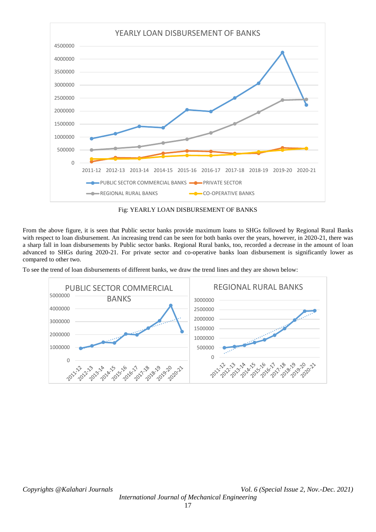

Fig: YEARLY LOAN DISBURSEMENT OF BANKS

From the above figure, it is seen that Public sector banks provide maximum loans to SHGs followed by Regional Rural Banks with respect to loan disbursement. An increasing trend can be seen for both banks over the years, however, in 2020-21, there was a sharp fall in loan disbursements by Public sector banks. Regional Rural banks, too, recorded a decrease in the amount of loan advanced to SHGs during 2020-21. For private sector and co-operative banks loan disbursement is significantly lower as compared to other two.

To see the trend of loan disbursements of different banks, we draw the trend lines and they are shown below:



*Copyrights @Kalahari Journals Vol. 6 (Special Issue 2, Nov.-Dec. 2021) International Journal of Mechanical Engineering*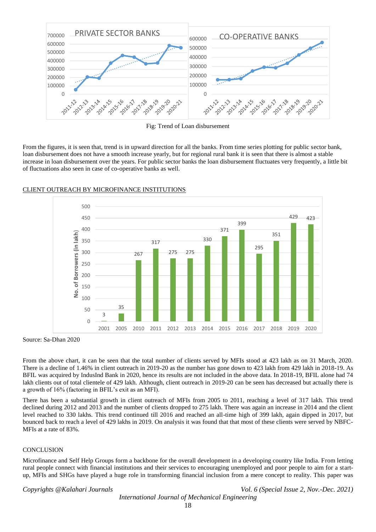

Fig: Trend of Loan disbursement

From the figures, it is seen that, trend is in upward direction for all the banks. From time series plotting for public sector bank, loan disbursement does not have a smooth increase yearly, but for regional rural bank it is seen that there is almost a stable increase in loan disbursement over the years. For public sector banks the loan disbursement fluctuates very frequently, a little bit of fluctuations also seen in case of co-operative banks as well.



# CLIENT OUTREACH BY MICROFINANCE INSTITUTIONS

Source: Sa-Dhan 2020

From the above chart, it can be seen that the total number of clients served by MFIs stood at 423 lakh as on 31 March, 2020. There is a decline of 1.46% in client outreach in 2019-20 as the number has gone down to 423 lakh from 429 lakh in 2018-19. As BFIL was acquired by IndusInd Bank in 2020, hence its results are not included in the above data. In 2018-19, BFIL alone had 74 lakh clients out of total clientele of 429 lakh. Although, client outreach in 2019-20 can be seen has decreased but actually there is a growth of 16% (factoring in BFIL's exit as an MFI).

There has been a substantial growth in client outreach of MFIs from 2005 to 2011, reaching a level of 317 lakh. This trend declined during 2012 and 2013 and the number of clients dropped to 275 lakh. There was again an increase in 2014 and the client level reached to 330 lakhs. This trend continued till 2016 and reached an all-time high of 399 lakh, again dipped in 2017, but bounced back to reach a level of 429 lakhs in 2019. On analysis it was found that that most of these clients were served by NBFC-MFIs at a rate of 83%.

# **CONCLUSION**

Microfinance and Self Help Groups form a backbone for the overall development in a developing country like India. From letting rural people connect with financial institutions and their services to encouraging unemployed and poor people to aim for a startup, MFIs and SHGs have played a huge role in transforming financial inclusion from a mere concept to reality. This paper was

*Copyrights @Kalahari Journals Vol. 6 (Special Issue 2, Nov.-Dec. 2021)*